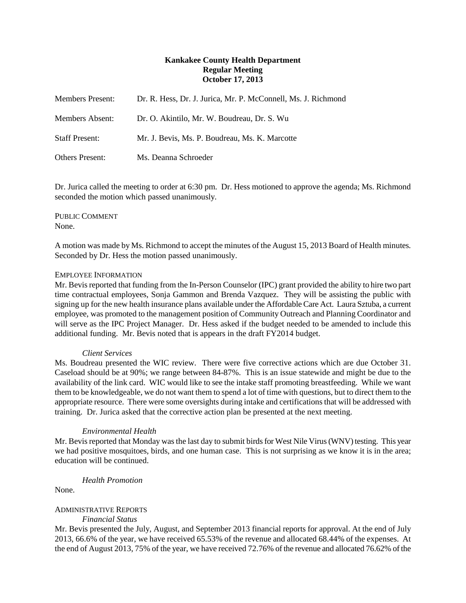## **Kankakee County Health Department Regular Meeting October 17, 2013**

| <b>Members Present:</b> | Dr. R. Hess, Dr. J. Jurica, Mr. P. McConnell, Ms. J. Richmond |
|-------------------------|---------------------------------------------------------------|
| Members Absent:         | Dr. O. Akintilo, Mr. W. Boudreau, Dr. S. Wu                   |
| <b>Staff Present:</b>   | Mr. J. Bevis, Ms. P. Boudreau, Ms. K. Marcotte                |
| <b>Others Present:</b>  | Ms. Deanna Schroeder                                          |

Dr. Jurica called the meeting to order at 6:30 pm. Dr. Hess motioned to approve the agenda; Ms. Richmond seconded the motion which passed unanimously.

PUBLIC COMMENT None.

A motion was made by Ms. Richmond to accept the minutes of the August 15, 2013 Board of Health minutes. Seconded by Dr. Hess the motion passed unanimously.

## EMPLOYEE INFORMATION

Mr. Bevis reported that funding from the In-Person Counselor (IPC) grant provided the ability to hire two part time contractual employees, Sonja Gammon and Brenda Vazquez. They will be assisting the public with signing up for the new health insurance plans available under the Affordable Care Act. Laura Sztuba, a current employee, was promoted to the management position of Community Outreach and Planning Coordinator and will serve as the IPC Project Manager. Dr. Hess asked if the budget needed to be amended to include this additional funding. Mr. Bevis noted that is appears in the draft FY2014 budget.

#### *Client Services*

Ms. Boudreau presented the WIC review. There were five corrective actions which are due October 31. Caseload should be at 90%; we range between 84-87%. This is an issue statewide and might be due to the availability of the link card. WIC would like to see the intake staff promoting breastfeeding. While we want them to be knowledgeable, we do not want them to spend a lot of time with questions, but to direct them to the appropriate resource. There were some oversights during intake and certifications that will be addressed with training. Dr. Jurica asked that the corrective action plan be presented at the next meeting.

## *Environmental Health*

Mr. Bevis reported that Monday was the last day to submit birds for West Nile Virus (WNV) testing. This year we had positive mosquitoes, birds, and one human case. This is not surprising as we know it is in the area; education will be continued.

*Health Promotion*

None.

# ADMINISTRATIVE REPORTS

*Financial Status*

Mr. Bevis presented the July, August, and September 2013 financial reports for approval. At the end of July 2013, 66.6% of the year, we have received 65.53% of the revenue and allocated 68.44% of the expenses. At the end of August 2013, 75% of the year, we have received 72.76% of the revenue and allocated 76.62% of the